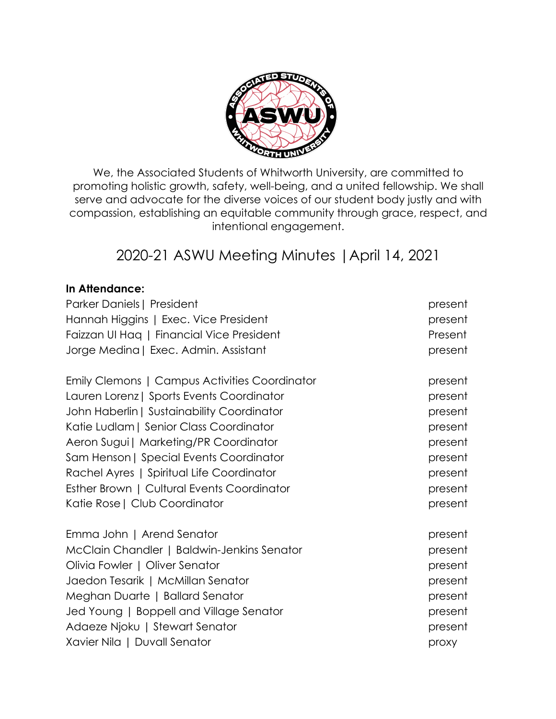

We, the Associated Students of Whitworth University, are committed to promoting holistic growth, safety, well-being, and a united fellowship. We shall serve and advocate for the diverse voices of our student body justly and with compassion, establishing an equitable community through grace, respect, and intentional engagement.

# 2020-21 ASWU Meeting Minutes |April 14, 2021

## **In Attendance:**

| Parker Daniels   President                    | present |
|-----------------------------------------------|---------|
| Hannah Higgins   Exec. Vice President         | present |
| Faizzan UI Hag   Financial Vice President     | Present |
| Jorge Medina   Exec. Admin. Assistant         | present |
| Emily Clemons   Campus Activities Coordinator | present |
| Lauren Lorenz   Sports Events Coordinator     | present |
| John Haberlin   Sustainability Coordinator    | present |
| Katie Ludlam   Senior Class Coordinator       | present |
| Aeron Sugui   Marketing/PR Coordinator        | present |
| Sam Henson   Special Events Coordinator       | present |
| Rachel Ayres   Spiritual Life Coordinator     | present |
| Esther Brown   Cultural Events Coordinator    | present |
| Katie Rose   Club Coordinator                 | present |
| Emma John   Arend Senator                     | present |
| McClain Chandler   Baldwin-Jenkins Senator    | present |
| Olivia Fowler   Oliver Senator                | present |
| Jaedon Tesarik   McMillan Senator             | present |
| Meghan Duarte   Ballard Senator               | present |
| Jed Young   Boppell and Village Senator       | present |
| Adaeze Njoku   Stewart Senator                | present |
| Xavier Nila   Duvall Senator                  | proxy   |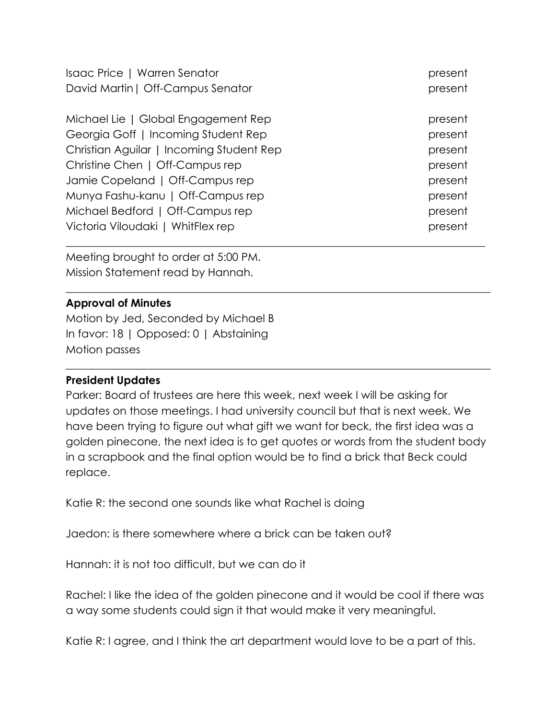| Isaac Price   Warren Senator             | present |
|------------------------------------------|---------|
| David Martin   Off-Campus Senator        | present |
| Michael Lie   Global Engagement Rep      | present |
| Georgia Goff   Incoming Student Rep      | present |
| Christian Aguilar   Incoming Student Rep | present |
| Christine Chen   Off-Campus rep          | present |
| Jamie Copeland   Off-Campus rep          | present |
| Munya Fashu-kanu   Off-Campus rep        | present |
| Michael Bedford   Off-Campus rep         | present |
| Victoria Viloudaki   WhitFlex rep        | present |
|                                          |         |

Meeting brought to order at 5:00 PM. Mission Statement read by Hannah.

## **Approval of Minutes**

Motion by Jed, Seconded by Michael B In favor: 18 | Opposed: 0 | Abstaining Motion passes

## **President Updates**

Parker: Board of trustees are here this week, next week I will be asking for updates on those meetings. I had university council but that is next week. We have been trying to figure out what gift we want for beck, the first idea was a golden pinecone, the next idea is to get quotes or words from the student body in a scrapbook and the final option would be to find a brick that Beck could replace.

 $\_$  , and the set of the set of the set of the set of the set of the set of the set of the set of the set of the set of the set of the set of the set of the set of the set of the set of the set of the set of the set of th

\_\_\_\_\_\_\_\_\_\_\_\_\_\_\_\_\_\_\_\_\_\_\_\_\_\_\_\_\_\_\_\_\_\_\_\_\_\_\_\_\_\_\_\_\_\_\_\_\_\_\_\_\_\_\_\_\_\_\_\_\_\_\_\_\_\_\_\_\_\_\_\_\_\_\_\_\_\_

Katie R: the second one sounds like what Rachel is doing

Jaedon: is there somewhere where a brick can be taken out?

Hannah: it is not too difficult, but we can do it

Rachel: I like the idea of the golden pinecone and it would be cool if there was a way some students could sign it that would make it very meaningful.

Katie R: I agree, and I think the art department would love to be a part of this.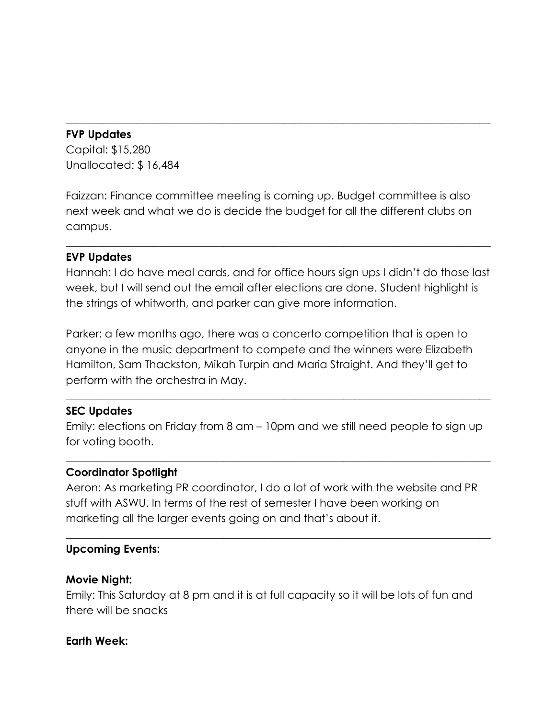## **FVP Updates**

Capital: \$15,280 Unallocated: \$ 16,484

Faizzan: Finance committee meeting is coming up. Budget committee is also next week and what we do is decide the budget for all the different clubs on campus.

 $\_$  , and the set of the set of the set of the set of the set of the set of the set of the set of the set of the set of the set of the set of the set of the set of the set of the set of the set of the set of the set of th

## **EVP Updates**

Hannah: I do have meal cards, and for office hours sign ups I didn't do those last week, but I will send out the email after elections are done. Student highlight is the strings of whitworth, and parker can give more information.

 $\_$  , and the set of the set of the set of the set of the set of the set of the set of the set of the set of the set of the set of the set of the set of the set of the set of the set of the set of the set of the set of th

Parker: a few months ago, there was a concerto competition that is open to anyone in the music department to compete and the winners were Elizabeth Hamilton, Sam Thackston, Mikah Turpin and Maria Straight. And they'll get to perform with the orchestra in May.

# **SEC Updates**

Emily: elections on Friday from 8 am – 10pm and we still need people to sign up for voting booth.

\_\_\_\_\_\_\_\_\_\_\_\_\_\_\_\_\_\_\_\_\_\_\_\_\_\_\_\_\_\_\_\_\_\_\_\_\_\_\_\_\_\_\_\_\_\_\_\_\_\_\_\_\_\_\_\_\_\_\_\_\_\_\_\_\_\_\_\_\_\_\_\_\_\_\_\_\_\_

 $\_$  , and the set of the set of the set of the set of the set of the set of the set of the set of the set of the set of the set of the set of the set of the set of the set of the set of the set of the set of the set of th

## **Coordinator Spotlight**

Aeron: As marketing PR coordinator, I do a lot of work with the website and PR stuff with ASWU. In terms of the rest of semester I have been working on marketing all the larger events going on and that's about it.

 $\_$  , and the set of the set of the set of the set of the set of the set of the set of the set of the set of the set of the set of the set of the set of the set of the set of the set of the set of the set of the set of th

## **Upcoming Events:**

## **Movie Night:**

Emily: This Saturday at 8 pm and it is at full capacity so it will be lots of fun and there will be snacks

#### **Earth Week:**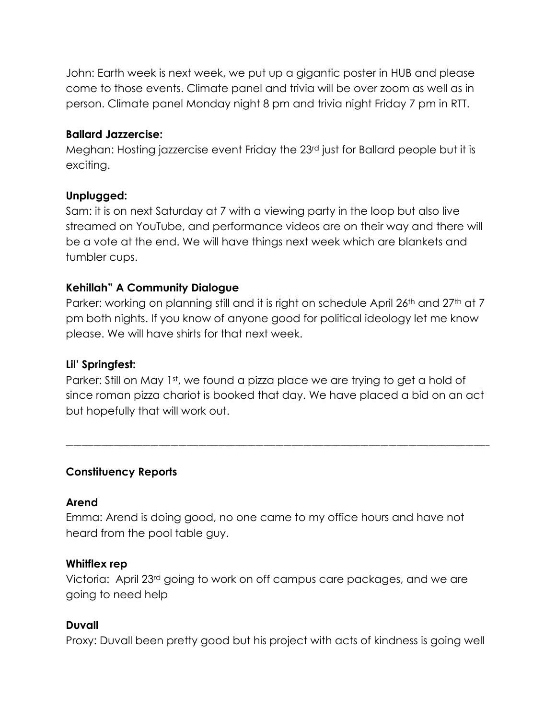John: Earth week is next week, we put up a gigantic poster in HUB and please come to those events. Climate panel and trivia will be over zoom as well as in person. Climate panel Monday night 8 pm and trivia night Friday 7 pm in RTT.

## **Ballard Jazzercise:**

Meghan: Hosting jazzercise event Friday the 23rd just for Ballard people but it is exciting.

#### **Unplugged:**

Sam: it is on next Saturday at 7 with a viewing party in the loop but also live streamed on YouTube, and performance videos are on their way and there will be a vote at the end. We will have things next week which are blankets and tumbler cups.

## **Kehillah" A Community Dialogue**

Parker: working on planning still and it is right on schedule April 26<sup>th</sup> and 27<sup>th</sup> at 7 pm both nights. If you know of anyone good for political ideology let me know please. We will have shirts for that next week.

## **Lil' Springfest:**

Parker: Still on May 1st, we found a pizza place we are trying to get a hold of since roman pizza chariot is booked that day. We have placed a bid on an act but hopefully that will work out.

\_\_\_\_\_\_\_\_\_\_\_\_\_\_\_\_\_\_\_\_\_\_\_\_\_\_\_\_\_\_\_\_\_\_\_\_\_\_\_\_\_\_\_\_\_\_\_\_\_\_\_\_\_\_\_\_\_\_\_\_\_\_\_\_\_\_\_\_\_\_\_\_\_\_\_\_\_\_\_\_\_\_\_\_\_\_\_\_\_\_\_\_\_\_\_\_\_\_\_\_\_\_\_\_\_

## **Constituency Reports**

#### **Arend**

Emma: Arend is doing good, no one came to my office hours and have not heard from the pool table guy.

#### **Whitflex rep**

Victoria: April 23rd going to work on off campus care packages, and we are going to need help

## **Duvall**

Proxy: Duvall been pretty good but his project with acts of kindness is going well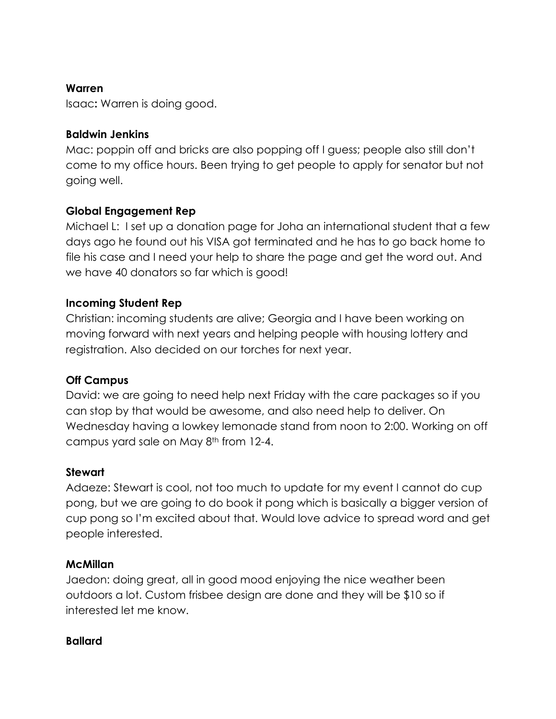## **Warren**

Isaac**:** Warren is doing good.

## **Baldwin Jenkins**

Mac: poppin off and bricks are also popping off I guess; people also still don't come to my office hours. Been trying to get people to apply for senator but not going well.

## **Global Engagement Rep**

Michael L: I set up a donation page for Joha an international student that a few days ago he found out his VISA got terminated and he has to go back home to file his case and I need your help to share the page and get the word out. And we have 40 donators so far which is good!

#### **Incoming Student Rep**

Christian: incoming students are alive; Georgia and I have been working on moving forward with next years and helping people with housing lottery and registration. Also decided on our torches for next year.

## **Off Campus**

David: we are going to need help next Friday with the care packages so if you can stop by that would be awesome, and also need help to deliver. On Wednesday having a lowkey lemonade stand from noon to 2:00. Working on off campus yard sale on May 8<sup>th</sup> from 12-4.

#### **Stewart**

Adaeze: Stewart is cool, not too much to update for my event I cannot do cup pong, but we are going to do book it pong which is basically a bigger version of cup pong so I'm excited about that. Would love advice to spread word and get people interested.

#### **McMillan**

Jaedon: doing great, all in good mood enjoying the nice weather been outdoors a lot. Custom frisbee design are done and they will be \$10 so if interested let me know.

#### **Ballard**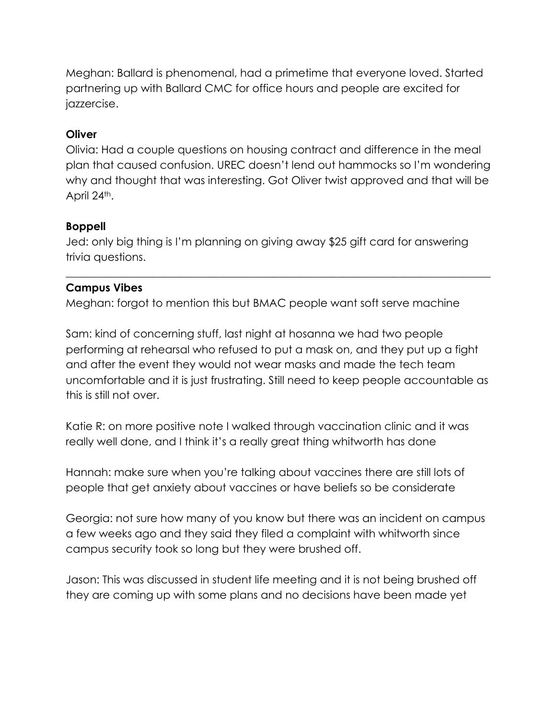Meghan: Ballard is phenomenal, had a primetime that everyone loved. Started partnering up with Ballard CMC for office hours and people are excited for jazzercise.

# **Oliver**

Olivia: Had a couple questions on housing contract and difference in the meal plan that caused confusion. UREC doesn't lend out hammocks so I'm wondering why and thought that was interesting. Got Oliver twist approved and that will be April 24<sup>th</sup>.

## **Boppell**

Jed: only big thing is I'm planning on giving away \$25 gift card for answering trivia questions.

 $\_$  , and the set of the set of the set of the set of the set of the set of the set of the set of the set of the set of the set of the set of the set of the set of the set of the set of the set of the set of the set of th

## **Campus Vibes**

Meghan: forgot to mention this but BMAC people want soft serve machine

Sam: kind of concerning stuff, last night at hosanna we had two people performing at rehearsal who refused to put a mask on, and they put up a fight and after the event they would not wear masks and made the tech team uncomfortable and it is just frustrating. Still need to keep people accountable as this is still not over.

Katie R: on more positive note I walked through vaccination clinic and it was really well done, and I think it's a really great thing whitworth has done

Hannah: make sure when you're talking about vaccines there are still lots of people that get anxiety about vaccines or have beliefs so be considerate

Georgia: not sure how many of you know but there was an incident on campus a few weeks ago and they said they filed a complaint with whitworth since campus security took so long but they were brushed off.

Jason: This was discussed in student life meeting and it is not being brushed off they are coming up with some plans and no decisions have been made yet